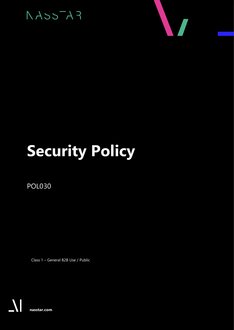



# **Security Policy**

POL030

Class 1 – General B2B Use / Public

**nasstar.com**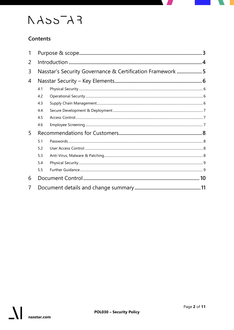# $FA=50A$

### Contents

| Nasstar's Security Governance & Certification Framework 5 |    |  |  |
|-----------------------------------------------------------|----|--|--|
|                                                           |    |  |  |
| 4.1                                                       |    |  |  |
| 4.2                                                       |    |  |  |
| 4.3                                                       |    |  |  |
| 4.4                                                       |    |  |  |
| 4.5                                                       |    |  |  |
| 4.6                                                       |    |  |  |
|                                                           |    |  |  |
| 5.1                                                       |    |  |  |
| 5.2                                                       |    |  |  |
| 5.3                                                       |    |  |  |
| 5.4                                                       |    |  |  |
| 5.5                                                       |    |  |  |
|                                                           | 10 |  |  |
|                                                           |    |  |  |
|                                                           |    |  |  |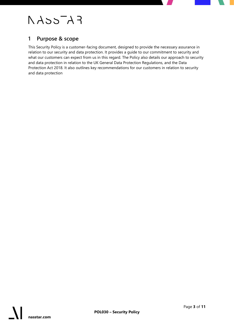# $FA=5A$

### <span id="page-2-0"></span>**1 Purpose & scope**

This Security Policy is a customer-facing document, designed to provide the necessary assurance in relation to our security and data protection. It provides a guide to our commitment to security and what our customers can expect from us in this regard. The Policy also details our approach to security and data protection in relation to the UK General Data Protection Regulations, and the Data Protection Act 2018. It also outlines key recommendations for our customers in relation to security and data protection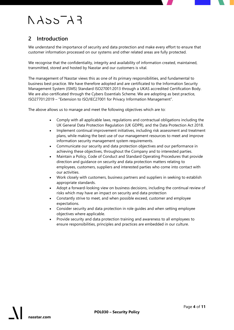# $F A 35A 3$

### <span id="page-3-0"></span>**2 Introduction**

We understand the importance of security and data protection and make every effort to ensure that customer information processed on our systems and other related areas are fully protected.

We recognise that the confidentiality, integrity and availability of information created, maintained, transmitted, stored and hosted by Nasstar and our customers is vital.

The management of Nasstar views this as one of its primary responsibilities, and fundamental to business best practice. We have therefore adopted and are certificated to the Information Security Management System (ISMS) Standard ISO27001:2013 through a UKAS accredited Certification Body. We are also certificated through the Cybers Essentials Scheme. We are adopting as best practice, ISO27701:2019 – "Extension to ISO/IEC27001 for Privacy Information Management".

The above allows us to manage and meet the following objectives which are to:

- Comply with all applicable laws, regulations and contractual obligations including the UK General Data Protection Regulation (UK GDPR), and the Data Protection Act 2018.
- Implement continual improvement initiatives, including risk assessment and treatment plans, while making the best use of our management resources to meet and improve information security management system requirements.
- Communicate our security and data protection objectives and our performance in achieving these objectives, throughout the Company and to interested parties.
- Maintain a Policy, Code of Conduct and Standard Operating Procedures that provide direction and guidance on security and data protection matters relating to employees, customers, suppliers and interested parties who come into contact with our activities.
- Work closely with customers, business partners and suppliers in seeking to establish appropriate standards.
- Adopt a forward-looking view on business decisions, including the continual review of risks which may have an impact on security and data protection
- Constantly strive to meet, and when possible exceed, customer and employee expectations.
- Consider security and data protection in role guides and when setting employee objectives where applicable.
- Provide security and data protection training and awareness to all employees to ensure responsibilities, principles and practices are embedded in our culture.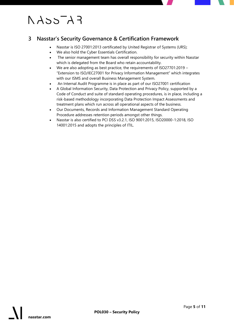# $FATccA$

### <span id="page-4-0"></span>**3 Nasstar's Security Governance & Certification Framework**

- Nasstar is ISO 27001:2013 certificated by United Registrar of Systems (URS);
- We also hold the Cyber Essentials Certification.
- The senior management team has overall responsibility for security within Nasstar which is delegated from the Board who retain accountability.
- We are also adopting as best practice, the requirements of ISO27701:2019 "Extension to ISO/IEC27001 for Privacy Information Management" which integrates with our ISMS and overall Business Management System.
- An Internal Audit Programme is in place as part of our ISO27001 certification
- A Global Information Security, Data Protection and Privacy Policy, supported by a Code of Conduct and suite of standard operating procedures, is in place, including a risk-based methodology incorporating Data Protection Impact Assessments and treatment plans which run across all operational aspects of the business.
- Our Documents, Records and Information Management Standard Operating Procedure addresses retention periods amongst other things.
- Nasstar is also certified to PCI DSS v3.2.1, ISO 9001:2015, ISO20000-1:2018, ISO 14001:2015 and adopts the principles of ITIL.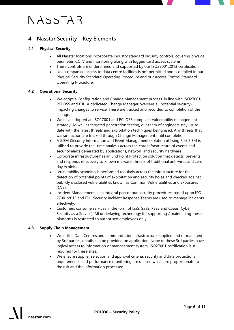# $F A 35A 3$

### <span id="page-5-0"></span>**4 Nasstar Security – Key Elements**

#### <span id="page-5-1"></span>**4.1 Physical Security**

- All Nasstar locations incorporate industry standard security controls, covering physical perimeter, CCTV and monitoring along with logged card access systems.
- These controls are underpinned and supported by our ISO27001:2013 certification.
- Unaccompanied access to data centre facilities is not permitted and is detailed in our Physical Security Standard Operating Procedure and our Access Control Standard Operating Procedure.

#### <span id="page-5-2"></span>**4.2 Operational Security**

- We adopt a Configuration and Change Management process, in line with ISO27001, PCI DSS and ITIL. A dedicated Change Manager oversees all potential securityimpacting changes to service. These are tracked and recorded to completion of the change.
- We have adopted an ISO27001 and PCI DSS compliant vulnerability management strategy. As well as targeted penetration testing, our team of engineers stay up-todate with the latest threats and exploitation techniques being used. Any threats that warrant action are tracked through Change Management until completion.
- A SIEM (Security Information and Event Management) solution utilising FortiSIEM is utilised to provide real-time analysis across the core infrastructure of events and security alerts generated by applications, network and security hardware.
- Corporate infrastructure has an End Point Protection solution that detects, prevents and responds effectively to known malware, threats of traditional anti-virus and zero day exploits.
- Vulnerability scanning is performed regularly across the infrastructure for the detection of potential points of exploitation and security holes and checked against publicly disclosed vulnerabilities known as Common Vulnerabilities and Exposures (CVE).
- Incident Management is an integral part of our security procedures based upon ISO 27001:2013 and ITIL. Security Incident Response Teams are used to manage incidents effectively.
- Customers consume services in the form of IaaS, SaaS, PaaS and CSaas (Cyber Security as a Service). All underlaying technology for supporting / maintaining these platforms is restricted to authorised employees only

#### <span id="page-5-3"></span>**4.3 Supply Chain Management**

- We utilise Data Centres and communication infrastructure supplied and or managed by 3rd parties, details can be provided on application. None of these 3rd parties have logical access to information or management system. ISO27001 certification is still required for these sites.
- We ensure supplier selection and approval criteria, security and data protections requirements, and performance monitoring are utilised which are proportionate to the risk and the information processed.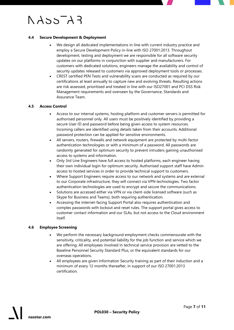# $F A 35 - A 3$

#### <span id="page-6-0"></span>**4.4 Secure Development & Deployment**

- We design all dedicated implementations in-line with current industry practice and employ a Secure Development Policy in-line with ISO 27001:2013. Throughout development, testing and deployment we are responsible for all software security updates on our platforms in conjunction with supplier and manufacturers. For customers with dedicated solutions, engineers manage the availability and control of security updates released to customers via approved deployment tools or processes.
- CREST certified PEN Tests and vulnerability scans are conducted as required by our certifications at least annually to capture new and evolving threats. Resulting actions are risk assessed, prioritised and treated in line with our ISO27001 and PCI DSS Risk Management requirements and overseen by the Governance, Standards and Assurance Team.

#### <span id="page-6-1"></span>**4.5 Access Control**

- Access to our internal systems, hosting platform and customer servers is permitted for authorised personnel only. All users must be positively identified by providing a secure User ID and password before being given access to system resources. Incoming callers are identified using details taken from their accounts. Additional password protection can be applied for sensitive environments.
- All servers, routers, firewalls and network equipment are protected by multi-factor authentication technologies or with a minimum of a password. All passwords are randomly generated for optimum security to prevent intruders gaining unauthorised access to systems and information.
- Only 3rd Line Engineers have full access to hosted platforms, each engineer having their own individual login for optimum security. Authorised support staff have Admin access to hosted services in order to provide technical support to customers.
- Where Support Engineers require access to our network and systems and are external to our Corporate infrastructure, they will connect via VPN technologies. Two factor authentication technologies are used to encrypt and secure the communications.
- Solutions are accessed either via VPN or via client-side licensed software (such as Skype for Business and Teams), both requiring authentication.
- Accessing the internet-facing Support Portal also requires authentication and complex passwords with lockout and reset rules. The support portal gives access to customer contact information and our SLAs, but not access to the Cloud environment itself.

#### <span id="page-6-2"></span>**4.6 Employee Screening**

- We perform the necessary background employment checks commensurate with the sensitivity, criticality, and potential liability for the job function and service which we are offering. All employees involved in technical service provision are vetted to the Baseline Personnel Security Standard Plus, or the equivalent standards for our overseas operations.
- All employees are given Information Security training as part of their induction and a minimum of every 12 months thereafter, in support of our ISO 27001:2013 certification.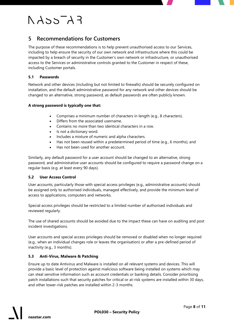# $FA=5A$

### <span id="page-7-0"></span>**5 Recommendations for Customers**

The purpose of these recommendations is to help prevent unauthorised access to our Services, including to help ensure the security of our own network and infrastructure where this could be impacted by a breach of security in the Customer's own network or infrastructure, or unauthorised access to the Services or administrative controls granted to the Customer in respect of these, including Customer portals.

#### <span id="page-7-1"></span>**5.1 Passwords**

Network and other devices (including but not limited to firewalls) should be securely configured on installation, and the default administrative password for any network and other devices should be changed to an alternative, strong password, as default passwords are often publicly known.

#### **A strong password is typically one that:**

- Comprises a minimum number of characters in length (e.g., 8 characters).
- Differs from the associated username.
- Contains no more than two identical characters in a row.
- Is not a dictionary word.
- Includes a mixture of numeric and alpha characters.
- Has not been reused within a predetermined period of time (e.g., 6 months); and
- Has not been used for another account.

Similarly, any default password for a user account should be changed to an alternative, strong password, and administrative user accounts should be configured to require a password change on a regular basis (e.g. at least every 90 days).

#### <span id="page-7-2"></span>**5.2 User Access Control**

User accounts, particularly those with special access privileges (e.g., administrative accounts) should be assigned only to authorised individuals, managed effectively, and provide the minimum level of access to applications, computers and networks.

Special access privileges should be restricted to a limited number of authorised individuals and reviewed regularly.

The use of shared accounts should be avoided due to the impact these can have on auditing and post incident investigations.

User accounts and special access privileges should be removed or disabled when no longer required (e.g., when an individual changes role or leaves the organisation) or after a pre-defined period of inactivity (e.g., 3 months).

#### <span id="page-7-3"></span>**5.3 Anti-Virus, Malware & Patching**

Ensure up to date Antivirus and Malware is installed on all relevant systems and devices. This will provide a basic level of protection against malicious software being installed on systems which may can steal sensitive information such as account credentials or banking details. Consider prioritising patch installations such that security patches for critical or at-risk systems are installed within 30 days, and other lower-risk patches are installed within 2-3 months.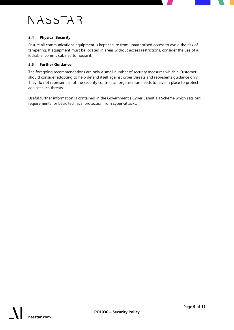## $F A 35 - A 3$

#### <span id="page-8-0"></span>**5.4 Physical Security**

Ensure all communications equipment is kept secure from unauthorised access to avoid the risk of tampering. If equipment must be located in areas without access restrictions, consider the use of a lockable 'comms cabinet' to house it.

#### <span id="page-8-1"></span>**5.5 Further Guidance**

The foregoing recommendations are only a small number of security measures which a Customer should consider adopting to help defend itself against cyber threats and represents guidance only. They do not represent all of the security controls an organisation needs to have in place to protect against such threats.

Useful further information is contained in the Government's Cyber Essentials Scheme which sets out requirements for basic technical protection from cyber-attacks.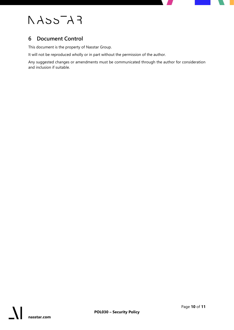# $FA=5CAA$

### <span id="page-9-0"></span>**6 Document Control**

This document is the property of Nasstar Group.

It will not be reproduced wholly or in part without the permission of the author.

Any suggested changes or amendments must be communicated through the author for consideration and inclusion if suitable.